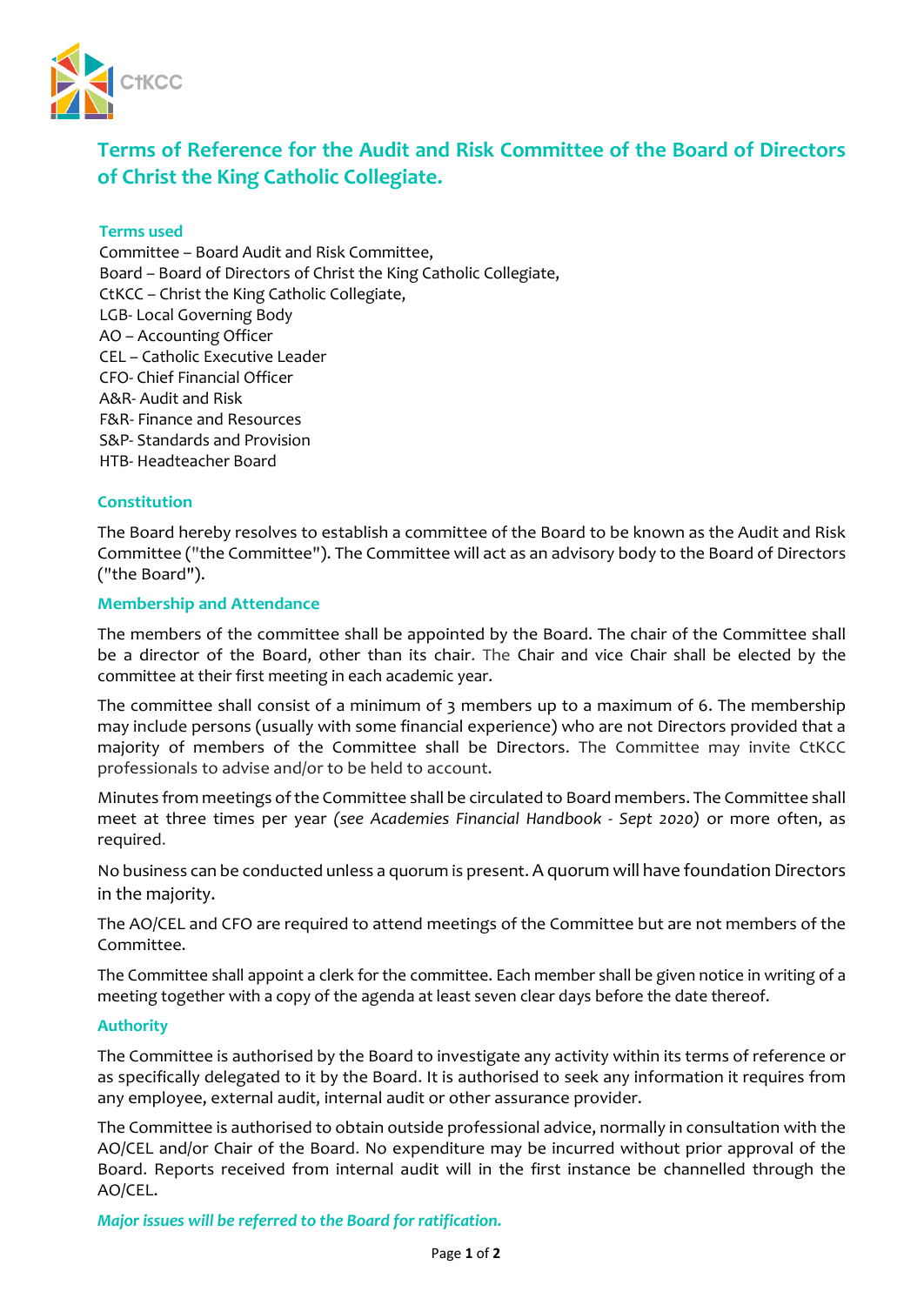

# **Terms of Reference for the Audit and Risk Committee of the Board of Directors of Christ the King Catholic Collegiate.**

# **Terms used**

Committee – Board Audit and Risk Committee, Board – Board of Directors of Christ the King Catholic Collegiate, CtKCC – Christ the King Catholic Collegiate, LGB- Local Governing Body AO – Accounting Officer CEL – Catholic Executive Leader CFO- Chief Financial Officer A&R- Audit and Risk F&R- Finance and Resources S&P- Standards and Provision HTB- Headteacher Board

# **Constitution**

The Board hereby resolves to establish a committee of the Board to be known as the Audit and Risk Committee ("the Committee"). The Committee will act as an advisory body to the Board of Directors ("the Board").

# **Membership and Attendance**

The members of the committee shall be appointed by the Board. The chair of the Committee shall be a director of the Board, other than its chair. The Chair and vice Chair shall be elected by the committee at their first meeting in each academic year.

The committee shall consist of a minimum of 3 members up to a maximum of 6. The membership may include persons (usually with some financial experience) who are not Directors provided that a majority of members of the Committee shall be Directors. The Committee may invite CtKCC professionals to advise and/or to be held to account.

Minutes from meetings of the Committee shall be circulated to Board members. The Committee shall meet at three times per year *(see Academies Financial Handbook - Sept 2020)* or more often, as required.

No business can be conducted unless a quorum is present. A quorum will have foundation Directors in the majority.

The AO/CEL and CFO are required to attend meetings of the Committee but are not members of the Committee.

The Committee shall appoint a clerk for the committee. Each member shall be given notice in writing of a meeting together with a copy of the agenda at least seven clear days before the date thereof.

#### **Authority**

The Committee is authorised by the Board to investigate any activity within its terms of reference or as specifically delegated to it by the Board. It is authorised to seek any information it requires from any employee, external audit, internal audit or other assurance provider.

The Committee is authorised to obtain outside professional advice, normally in consultation with the AO/CEL and/or Chair of the Board. No expenditure may be incurred without prior approval of the Board. Reports received from internal audit will in the first instance be channelled through the AO/CEL.

*Major issues will be referred to the Board for ratification.*